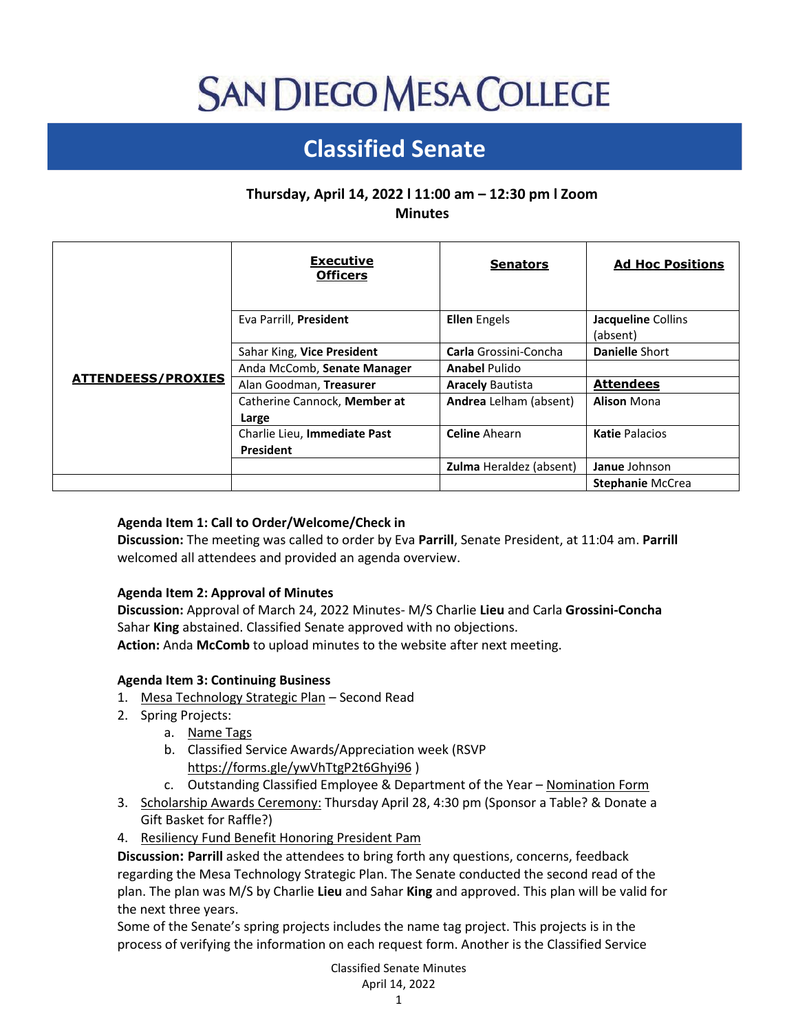# **SAN DIEGO MESA COLLEGE**

# **Classified Senate**

## **Thursday, April 14, 2022 l 11:00 am – 12:30 pm l Zoom Minutes**

|                           | <b>Executive</b><br><b>Officers</b>              | <b>Senators</b>                | <b>Ad Hoc Positions</b>        |
|---------------------------|--------------------------------------------------|--------------------------------|--------------------------------|
| <b>ATTENDEESS/PROXIES</b> | Eva Parrill, President                           | <b>Ellen</b> Engels            | Jacqueline Collins<br>(absent) |
|                           | Sahar King, Vice President                       | Carla Grossini-Concha          | <b>Danielle Short</b>          |
|                           | Anda McComb, Senate Manager                      | <b>Anabel Pulido</b>           |                                |
|                           | Alan Goodman, Treasurer                          | <b>Aracely Bautista</b>        | <b>Attendees</b>               |
|                           | Catherine Cannock, Member at<br>Large            | Andrea Lelham (absent)         | <b>Alison Mona</b>             |
|                           | Charlie Lieu, Immediate Past<br><b>President</b> | <b>Celine Ahearn</b>           | <b>Katie Palacios</b>          |
|                           |                                                  | <b>Zulma</b> Heraldez (absent) | Janue Johnson                  |
|                           |                                                  |                                | <b>Stephanie McCrea</b>        |

### **Agenda Item 1: Call to Order/Welcome/Check in**

**Discussion:** The meeting was called to order by Eva **Parrill**, Senate President, at 11:04 am. **Parrill** welcomed all attendees and provided an agenda overview.

#### **Agenda Item 2: Approval of Minutes**

**Discussion:** Approval of March 24, 2022 Minutes- M/S Charlie **Lieu** and Carla **Grossini-Concha** Sahar **King** abstained. Classified Senate approved with no objections. **Action:** Anda **McComb** to upload minutes to the website after next meeting.

#### **Agenda Item 3: Continuing Business**

- 1. [Mesa Technology Strategic Plan](https://drive.google.com/file/d/1QuBxNUP1iTYgdCkblEXWFL82zrPDB_sk/view?usp=sharing) Second Read
- 2. Spring Projects:
	- a. [Name Tags](https://docs.google.com/forms/d/e/1FAIpQLSdczHRDyhcqz3D-AkdfTWnHL1gb8DZCEm3qZZB88XiojQJLgQ/viewform)
	- b. Classified Service Awards/Appreciation week (RSVP <https://forms.gle/ywVhTtgP2t6Ghyi96> )
	- c. Outstanding Classified Employee & Department of the Year [Nomination Form](https://www.surveymonkey.com/r/GHGWMRD)
- 3. [Scholarship Awards Ceremony:](https://www.sdmesa.edu/about-mesa/mesa-foundation/scholarship-ceremony.shtml) Thursday April 28, 4:30 pm (Sponsor a Table? & Donate a Gift Basket for Raffle?)
- 4. [Resiliency Fund Benefit Honoring President Pam](https://www.eventbrite.com/e/celebration-of-equity-and-excellence-tickets-288942533897)

**Discussion: Parrill** asked the attendees to bring forth any questions, concerns, feedback regarding the Mesa Technology Strategic Plan. The Senate conducted the second read of the plan. The plan was M/S by Charlie **Lieu** and Sahar **King** and approved. This plan will be valid for the next three years.

Some of the Senate's spring projects includes the name tag project. This projects is in the process of verifying the information on each request form. Another is the Classified Service

> Classified Senate Minutes April 14, 2022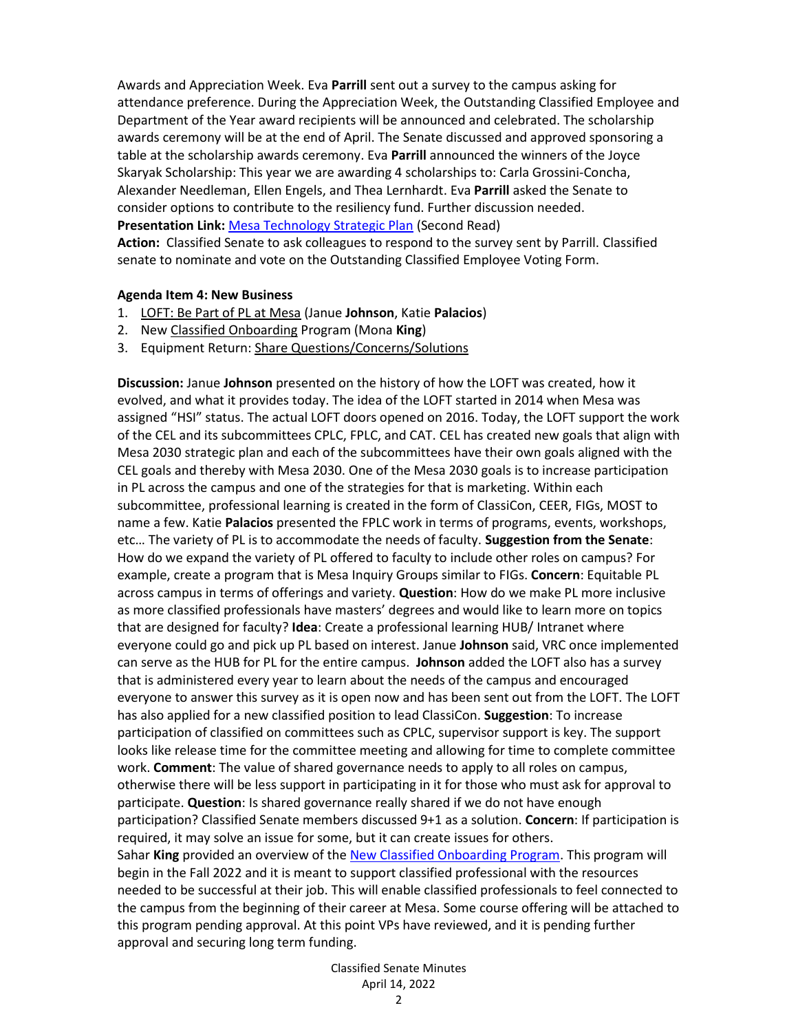Awards and Appreciation Week. Eva **Parrill** sent out a survey to the campus asking for attendance preference. During the Appreciation Week, the Outstanding Classified Employee and Department of the Year award recipients will be announced and celebrated. The scholarship awards ceremony will be at the end of April. The Senate discussed and approved sponsoring a table at the scholarship awards ceremony. Eva **Parrill** announced the winners of the Joyce Skaryak Scholarship: This year we are awarding 4 scholarships to: Carla Grossini-Concha, Alexander Needleman, Ellen Engels, and Thea Lernhardt. Eva **Parrill** asked the Senate to consider options to contribute to the resiliency fund. Further discussion needed. **Presentation Link:** [Mesa Technology Strategic Plan](https://drive.google.com/file/d/1QuBxNUP1iTYgdCkblEXWFL82zrPDB_sk/view) (Second Read) **Action:** Classified Senate to ask colleagues to respond to the survey sent by Parrill. Classified senate to nominate and vote on the Outstanding Classified Employee Voting Form.

#### **Agenda Item 4: New Business**

- 1. [LOFT: Be Part of PL at Mesa](https://drive.google.com/file/d/1VfspX4bL1oO5n1OmbMU6EgToa0neyjrL/view) (Janue **Johnson**, Katie **Palacios**)
- 2. New [Classified Onboarding](https://docs.google.com/document/d/1l9kP7LEa6L2b3Bu7oVzHntJeL3mYE7LtQvly_aywh8E/edit?usp=sharing) Program (Mona **King**)
- 3. Equipment Return[: Share Questions/Concerns/Solutions](https://padlet.com/sdmesaclassifiedsenate/c61psnnm809dm4y9)

**Discussion:** Janue **Johnson** presented on the history of how the LOFT was created, how it evolved, and what it provides today. The idea of the LOFT started in 2014 when Mesa was assigned "HSI" status. The actual LOFT doors opened on 2016. Today, the LOFT support the work of the CEL and its subcommittees CPLC, FPLC, and CAT. CEL has created new goals that align with Mesa 2030 strategic plan and each of the subcommittees have their own goals aligned with the CEL goals and thereby with Mesa 2030. One of the Mesa 2030 goals is to increase participation in PL across the campus and one of the strategies for that is marketing. Within each subcommittee, professional learning is created in the form of ClassiCon, CEER, FIGs, MOST to name a few. Katie **Palacios** presented the FPLC work in terms of programs, events, workshops, etc… The variety of PL is to accommodate the needs of faculty. **Suggestion from the Senate**: How do we expand the variety of PL offered to faculty to include other roles on campus? For example, create a program that is Mesa Inquiry Groups similar to FIGs. **Concern**: Equitable PL across campus in terms of offerings and variety. **Question**: How do we make PL more inclusive as more classified professionals have masters' degrees and would like to learn more on topics that are designed for faculty? **Idea**: Create a professional learning HUB/ Intranet where everyone could go and pick up PL based on interest. Janue **Johnson** said, VRC once implemented can serve as the HUB for PL for the entire campus. **Johnson** added the LOFT also has a survey that is administered every year to learn about the needs of the campus and encouraged everyone to answer this survey as it is open now and has been sent out from the LOFT. The LOFT has also applied for a new classified position to lead ClassiCon. **Suggestion**: To increase participation of classified on committees such as CPLC, supervisor support is key. The support looks like release time for the committee meeting and allowing for time to complete committee work. **Comment**: The value of shared governance needs to apply to all roles on campus, otherwise there will be less support in participating in it for those who must ask for approval to participate. **Question**: Is shared governance really shared if we do not have enough participation? Classified Senate members discussed 9+1 as a solution. **Concern**: If participation is required, it may solve an issue for some, but it can create issues for others. Sahar **King** provided an overview of th[e New Classified Onboarding Program.](https://docs.google.com/document/d/1l9kP7LEa6L2b3Bu7oVzHntJeL3mYE7LtQvly_aywh8E/edit?usp=sharing) This program will begin in the Fall 2022 and it is meant to support classified professional with the resources needed to be successful at their job. This will enable classified professionals to feel connected to the campus from the beginning of their career at Mesa. Some course offering will be attached to this program pending approval. At this point VPs have reviewed, and it is pending further approval and securing long term funding.